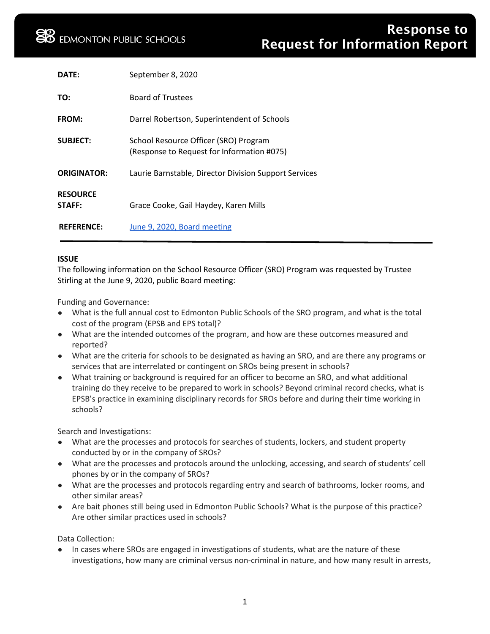| DATF:                     | September 8, 2020                                                                   |
|---------------------------|-------------------------------------------------------------------------------------|
| TO:                       | <b>Board of Trustees</b>                                                            |
| <b>FROM:</b>              | Darrel Robertson, Superintendent of Schools                                         |
| <b>SUBJECT:</b>           | School Resource Officer (SRO) Program<br>(Response to Request for Information #075) |
| <b>ORIGINATOR:</b>        | Laurie Barnstable, Director Division Support Services                               |
| <b>RESOURCE</b><br>STAFF: | Grace Cooke, Gail Haydey, Karen Mills                                               |
| <b>REFERENCE:</b>         | June 9, 2020, Board meeting                                                         |

# **ISSUE**

The following information on the School Resource Officer (SRO) Program was requested by Trustee Stirling at the June 9, 2020, public Board meeting:

Funding and Governance:

- What is the full annual cost to Edmonton Public Schools of the SRO program, and what is the total cost of the program (EPSB and EPS total)?
- What are the intended outcomes of the program, and how are these outcomes measured and reported?
- What are the criteria for schools to be designated as having an SRO, and are there any programs or services that are interrelated or contingent on SROs being present in schools?
- What training or background is required for an officer to become an SRO, and what additional training do they receive to be prepared to work in schools? Beyond criminal record checks, what is EPSB's practice in examining disciplinary records for SROs before and during their time working in schools?

Search and Investigations:

- What are the processes and protocols for searches of students, lockers, and student property conducted by or in the company of SROs?
- What are the processes and protocols around the unlocking, accessing, and search of students' cell phones by or in the company of SROs?
- What are the processes and protocols regarding entry and search of bathrooms, locker rooms, and other similar areas?
- Are bait phones still being used in Edmonton Public Schools? What is the purpose of this practice? Are other similar practices used in schools?

Data Collection:

In cases where SROs are engaged in investigations of students, what are the nature of these investigations, how many are criminal versus non-criminal in nature, and how many result in arrests,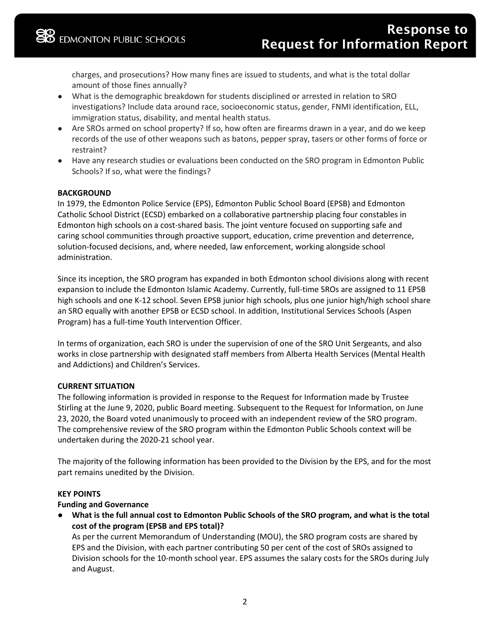charges, and prosecutions? How many fines are issued to students, and what is the total dollar amount of those fines annually?

- What is the demographic breakdown for students disciplined or arrested in relation to SRO investigations? Include data around race, socioeconomic status, gender, FNMI identification, ELL, immigration status, disability, and mental health status.
- Are SROs armed on school property? If so, how often are firearms drawn in a year, and do we keep records of the use of other weapons such as batons, pepper spray, tasers or other forms of force or restraint?
- Have any research studies or evaluations been conducted on the SRO program in Edmonton Public Schools? If so, what were the findings?

# **BACKGROUND**

In 1979, the Edmonton Police Service (EPS), Edmonton Public School Board (EPSB) and Edmonton Catholic School District (ECSD) embarked on a collaborative partnership placing four constables in Edmonton high schools on a cost-shared basis. The joint venture focused on supporting safe and caring school communities through proactive support, education, crime prevention and deterrence, solution-focused decisions, and, where needed, law enforcement, working alongside school administration.

Since its inception, the SRO program has expanded in both Edmonton school divisions along with recent expansion to include the Edmonton Islamic Academy. Currently, full-time SROs are assigned to 11 EPSB high schools and one K-12 school. Seven EPSB junior high schools, plus one junior high/high school share an SRO equally with another EPSB or ECSD school. In addition, Institutional Services Schools (Aspen Program) has a full-time Youth Intervention Officer.

In terms of organization, each SRO is under the supervision of one of the SRO Unit Sergeants, and also works in close partnership with designated staff members from Alberta Health Services (Mental Health and Addictions) and Children's Services.

#### **CURRENT SITUATION**

The following information is provided in response to the Request for Information made by Trustee Stirling at the June 9, 2020, public Board meeting. Subsequent to the Request for Information, on June 23, 2020, the Board voted unanimously to proceed with an independent review of the SRO program. The comprehensive review of the SRO program within the Edmonton Public Schools context will be undertaken during the 2020-21 school year.

The majority of the following information has been provided to the Division by the EPS, and for the most part remains unedited by the Division.

#### **KEY POINTS**

# **Funding and Governance**

● **What is the full annual cost to Edmonton Public Schools of the SRO program, and what is the total cost of the program (EPSB and EPS total)?**

As per the current Memorandum of Understanding (MOU), the SRO program costs are shared by EPS and the Division, with each partner contributing 50 per cent of the cost of SROs assigned to Division schools for the 10-month school year. EPS assumes the salary costs for the SROs during July and August.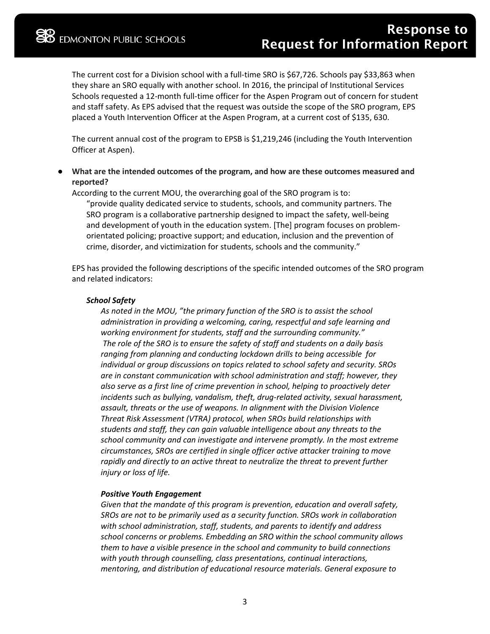The current cost for a Division school with a full-time SRO is \$67,726. Schools pay \$33,863 when they share an SRO equally with another school. In 2016, the principal of Institutional Services Schools requested a 12-month full-time officer for the Aspen Program out of concern for student and staff safety. As EPS advised that the request was outside the scope of the SRO program, EPS placed a Youth Intervention Officer at the Aspen Program, at a current cost of \$135, 630.

The current annual cost of the program to EPSB is \$1,219,246 (including the Youth Intervention Officer at Aspen).

What are the intended outcomes of the program, and how are these outcomes measured and **reported?**

According to the current MOU, the overarching goal of the SRO program is to:

"provide quality dedicated service to students, schools, and community partners. The SRO program is a collaborative partnership designed to impact the safety, well-being and development of youth in the education system. [The] program focuses on problemorientated policing; proactive support; and education, inclusion and the prevention of crime, disorder, and victimization for students, schools and the community."

EPS has provided the following descriptions of the specific intended outcomes of the SRO program and related indicators:

#### *School Safety*

*As noted in the MOU, "the primary function of the SRO is to assist the school administration in providing a welcoming, caring, respectful and safe learning and working environment for students, staff and the surrounding community." The role of the SRO is to ensure the safety of staff and students on a daily basis ranging from planning and conducting lockdown drills to being accessible for individual or group discussions on topics related to school safety and security. SROs are in constant communication with school administration and staff; however, they also serve as a first line of crime prevention in school, helping to proactively deter incidents such as bullying, vandalism, theft, drug-related activity, sexual harassment, assault, threats or the use of weapons. In alignment with the Division Violence Threat Risk Assessment (VTRA) protocol, when SROs build relationships with students and staff, they can gain valuable intelligence about any threats to the school community and can investigate and intervene promptly. In the most extreme circumstances, SROs are certified in single officer active attacker training to move rapidly and directly to an active threat to neutralize the threat to prevent further injury or loss of life.*

#### *Positive Youth Engagement*

*Given that the mandate of this program is prevention, education and overall safety, SROs are not to be primarily used as a security function. SROs work in collaboration with school administration, staff, students, and parents to identify and address school concerns or problems. Embedding an SRO within the school community allows them to have a visible presence in the school and community to build connections with youth through counselling, class presentations, continual interactions, mentoring, and distribution of educational resource materials. General exposure to*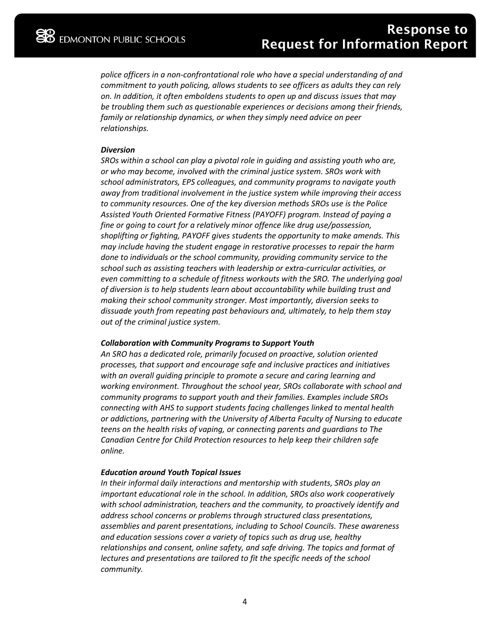*police officers in a non-confrontational role who have a special understanding of and commitment to youth policing, allows students to see officers as adults they can rely on. In addition, it often emboldens students to open up and discuss issues that may be troubling them such as questionable experiences or decisions among their friends, family or relationship dynamics, or when they simply need advice on peer relationships.*

#### *Diversion*

*SROs within a school can play a pivotal role in guiding and assisting youth who are, or who may become, involved with the criminal justice system. SROs work with school administrators, EPS colleagues, and community programs to navigate youth away from traditional involvement in the justice system while improving their access to community resources. One of the key diversion methods SROs use is the Police Assisted Youth Oriented Formative Fitness (PAYOFF) program. Instead of paying a fine or going to court for a relatively minor offence like drug use/possession, shoplifting or fighting, PAYOFF gives students the opportunity to make amends. This may include having the student engage in restorative processes to repair the harm done to individuals or the school community, providing community service to the school such as assisting teachers with leadership or extra-curricular activities, or even committing to a schedule of fitness workouts with the SRO. The underlying goal of diversion is to help students learn about accountability while building trust and making their school community stronger. Most importantly, diversion seeks to dissuade youth from repeating past behaviours and, ultimately, to help them stay out of the criminal justice system.*

#### *Collaboration with Community Programs to Support Youth*

*An SRO has a dedicated role, primarily focused on proactive, solution oriented processes, that support and encourage safe and inclusive practices and initiatives with an overall guiding principle to promote a secure and caring learning and working environment. Throughout the school year, SROs collaborate with school and community programs to support youth and their families. Examples include SROs connecting with AHS to support students facing challenges linked to mental health or addictions, partnering with the University of Alberta Faculty of Nursing to educate teens on the health risks of vaping, or connecting parents and guardians to The Canadian Centre for Child Protection resources to help keep their children safe online.*

#### *Education around Youth Topical Issues*

*In their informal daily interactions and mentorship with students, SROs play an important educational role in the school. In addition, SROs also work cooperatively with school administration, teachers and the community, to proactively identify and address school concerns or problems through structured class presentations, assemblies and parent presentations, including to School Councils. These awareness and education sessions cover a variety of topics such as drug use, healthy relationships and consent, online safety, and safe driving. The topics and format of lectures and presentations are tailored to fit the specific needs of the school community.*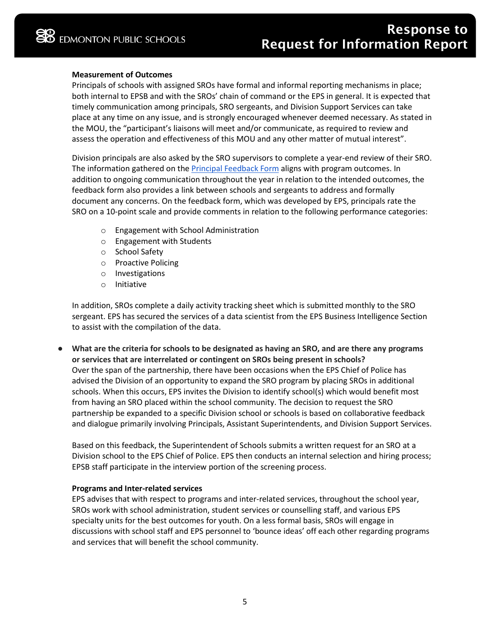## **Measurement of Outcomes**

Principals of schools with assigned SROs have formal and informal reporting mechanisms in place; both internal to EPSB and with the SROs' chain of command or the EPS in general. It is expected that timely communication among principals, SRO sergeants, and Division Support Services can take place at any time on any issue, and is strongly encouraged whenever deemed necessary. As stated in the MOU, the "participant's liaisons will meet and/or communicate, as required to review and assess the operation and effectiveness of this MOU and any other matter of mutual interest".

Division principals are also asked by the SRO supervisors to complete a year-end review of their SRO. The information gathered on the [Principal Feedback Form](https://drive.google.com/file/d/12IV_qrqnIJrbgp6lqEEPtZbWdSYAufUw/view?usp=sharing) aligns with program outcomes. In addition to ongoing communication throughout the year in relation to the intended outcomes, the feedback form also provides a link between schools and sergeants to address and formally document any concerns. On the feedback form, which was developed by EPS, principals rate the SRO on a 10-point scale and provide comments in relation to the following performance categories:

- o Engagement with School Administration
- o Engagement with Students
- o School Safety
- o Proactive Policing
- o Investigations
- o Initiative

In addition, SROs complete a daily activity tracking sheet which is submitted monthly to the SRO sergeant. EPS has secured the services of a data scientist from the EPS Business Intelligence Section to assist with the compilation of the data.

What are the criteria for schools to be designated as having an SRO, and are there any programs **or services that are interrelated or contingent on SROs being present in schools?** Over the span of the partnership, there have been occasions when the EPS Chief of Police has advised the Division of an opportunity to expand the SRO program by placing SROs in additional schools. When this occurs, EPS invites the Division to identify school(s) which would benefit most from having an SRO placed within the school community. The decision to request the SRO partnership be expanded to a specific Division school or schools is based on collaborative feedback and dialogue primarily involving Principals, Assistant Superintendents, and Division Support Services.

Based on this feedback, the Superintendent of Schools submits a written request for an SRO at a Division school to the EPS Chief of Police. EPS then conducts an internal selection and hiring process; EPSB staff participate in the interview portion of the screening process.

#### **Programs and Inter-related services**

EPS advises that with respect to programs and inter-related services, throughout the school year, SROs work with school administration, student services or counselling staff, and various EPS specialty units for the best outcomes for youth. On a less formal basis, SROs will engage in discussions with school staff and EPS personnel to 'bounce ideas' off each other regarding programs and services that will benefit the school community.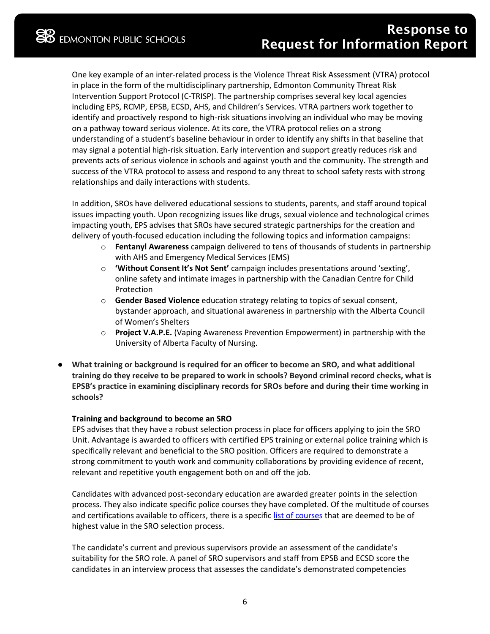One key example of an inter-related process is the Violence Threat Risk Assessment (VTRA) protocol in place in the form of the multidisciplinary partnership, Edmonton Community Threat Risk Intervention Support Protocol (C-TRISP). The partnership comprises several key local agencies including EPS, RCMP, EPSB, ECSD, AHS, and Children's Services. VTRA partners work together to identify and proactively respond to high-risk situations involving an individual who may be moving on a pathway toward serious violence. At its core, the VTRA protocol relies on a strong understanding of a student's baseline behaviour in order to identify any shifts in that baseline that may signal a potential high-risk situation. Early intervention and support greatly reduces risk and prevents acts of serious violence in schools and against youth and the community. The strength and success of the VTRA protocol to assess and respond to any threat to school safety rests with strong relationships and daily interactions with students.

In addition, SROs have delivered educational sessions to students, parents, and staff around topical issues impacting youth. Upon recognizing issues like drugs, sexual violence and technological crimes impacting youth, EPS advises that SROs have secured strategic partnerships for the creation and delivery of youth-focused education including the following topics and information campaigns:

- o **Fentanyl Awareness** campaign delivered to tens of thousands of students in partnership with AHS and Emergency Medical Services (EMS)
- o **'Without Consent It's Not Sent'** campaign includes presentations around 'sexting', online safety and intimate images in partnership with the Canadian Centre for Child Protection
- o **Gender Based Violence** education strategy relating to topics of sexual consent, bystander approach, and situational awareness in partnership with the Alberta Council of Women's Shelters
- o **Project V.A.P.E.** (Vaping Awareness Prevention Empowerment) in partnership with the University of Alberta Faculty of Nursing.
- What training or background is required for an officer to become an SRO, and what additional **training do they receive to be prepared to work in schools? Beyond criminal record checks, what is EPSB's practice in examining disciplinary records for SROs before and during their time working in schools?**

# **Training and background to become an SRO**

EPS advises that they have a robust selection process in place for officers applying to join the SRO Unit. Advantage is awarded to officers with certified EPS training or external police training which is specifically relevant and beneficial to the SRO position. Officers are required to demonstrate a strong commitment to youth work and community collaborations by providing evidence of recent, relevant and repetitive youth engagement both on and off the job.

Candidates with advanced post-secondary education are awarded greater points in the selection process. They also indicate specific police courses they have completed. Of the multitude of courses and certifications available to officers, there is a specific [list of courses](https://drive.google.com/file/d/1jmcpFNgZhZHf0w2KKLt3CATMSoYcSQuM/view?usp=sharing) that are deemed to be of highest value in the SRO selection process.

The candidate's current and previous supervisors provide an assessment of the candidate's suitability for the SRO role. A panel of SRO supervisors and staff from EPSB and ECSD score the candidates in an interview process that assesses the candidate's demonstrated competencies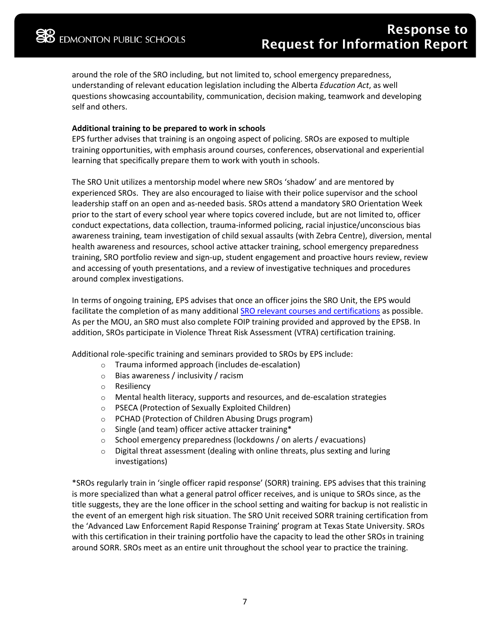around the role of the SRO including, but not limited to, school emergency preparedness, understanding of relevant education legislation including the Alberta *Education Act*, as well questions showcasing accountability, communication, decision making, teamwork and developing self and others.

## **Additional training to be prepared to work in schools**

EPS further advises that training is an ongoing aspect of policing. SROs are exposed to multiple training opportunities, with emphasis around courses, conferences, observational and experiential learning that specifically prepare them to work with youth in schools.

The SRO Unit utilizes a mentorship model where new SROs 'shadow' and are mentored by experienced SROs. They are also encouraged to liaise with their police supervisor and the school leadership staff on an open and as-needed basis. SROs attend a mandatory SRO Orientation Week prior to the start of every school year where topics covered include, but are not limited to, officer conduct expectations, data collection, trauma-informed policing, racial injustice/unconscious bias awareness training, team investigation of child sexual assaults (with Zebra Centre), diversion, mental health awareness and resources, school active attacker training, school emergency preparedness training, SRO portfolio review and sign-up, student engagement and proactive hours review, review and accessing of youth presentations, and a review of investigative techniques and procedures around complex investigations.

In terms of ongoing training, EPS advises that once an officer joins the SRO Unit, the EPS would facilitate the completion of as many additiona[l SRO relevant courses and certifications](https://drive.google.com/file/d/1jmcpFNgZhZHf0w2KKLt3CATMSoYcSQuM/view?usp=sharing) as possible. As per the MOU, an SRO must also complete FOIP training provided and approved by the EPSB. In addition, SROs participate in Violence Threat Risk Assessment (VTRA) certification training.

Additional role-specific training and seminars provided to SROs by EPS include:

- o Trauma informed approach (includes de-escalation)
- o Bias awareness / inclusivity / racism
- o Resiliency
- $\circ$  Mental health literacy, supports and resources, and de-escalation strategies
- o PSECA (Protection of Sexually Exploited Children)
- o PCHAD (Protection of Children Abusing Drugs program)
- o Single (and team) officer active attacker training\*
- $\circ$  School emergency preparedness (lockdowns / on alerts / evacuations)
- $\circ$  Digital threat assessment (dealing with online threats, plus sexting and luring investigations)

\*SROs regularly train in 'single officer rapid response' (SORR) training. EPS advises that this training is more specialized than what a general patrol officer receives, and is unique to SROs since, as the title suggests, they are the lone officer in the school setting and waiting for backup is not realistic in the event of an emergent high risk situation. The SRO Unit received SORR training certification from the 'Advanced Law Enforcement Rapid Response Training' program at Texas State University. SROs with this certification in their training portfolio have the capacity to lead the other SROs in training around SORR. SROs meet as an entire unit throughout the school year to practice the training.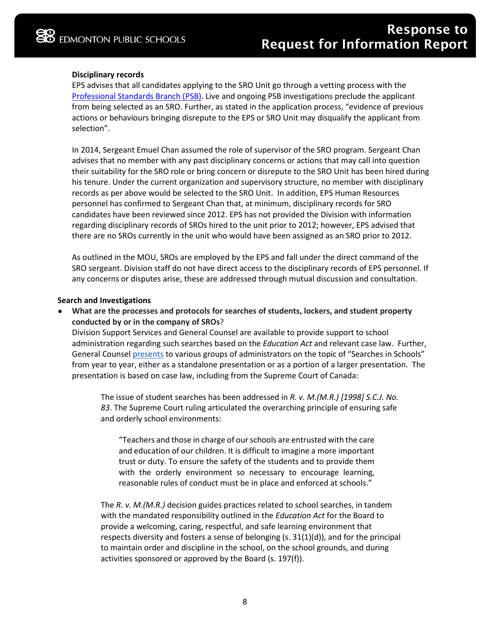## **Disciplinary records**

EPS advises that all candidates applying to the SRO Unit go through a vetting process with the [Professional Standards Branch \(PSB\).](https://www.edmontonpolice.ca/ContactEPS/Concerns) Live and ongoing PSB investigations preclude the applicant from being selected as an SRO. Further, as stated in the application process, "evidence of previous actions or behaviours bringing disrepute to the EPS or SRO Unit may disqualify the applicant from selection".

In 2014, Sergeant Emuel Chan assumed the role of supervisor of the SRO program. Sergeant Chan advises that no member with any past disciplinary concerns or actions that may call into question their suitability for the SRO role or bring concern or disrepute to the SRO Unit has been hired during his tenure. Under the current organization and supervisory structure, no member with disciplinary records as per above would be selected to the SRO Unit. In addition, EPS Human Resources personnel has confirmed to Sergeant Chan that, at minimum, disciplinary records for SRO candidates have been reviewed since 2012. EPS has not provided the Division with information regarding disciplinary records of SROs hired to the unit prior to 2012; however, EPS advised that there are no SROs currently in the unit who would have been assigned as an SRO prior to 2012.

As outlined in the MOU, SROs are employed by the EPS and fall under the direct command of the SRO sergeant. Division staff do not have direct access to the disciplinary records of EPS personnel. If any concerns or disputes arise, these are addressed through mutual discussion and consultation.

#### **Search and Investigations**

What are the processes and protocols for searches of students, lockers, and student property **conducted by or in the company of SROs**?

Division Support Services and General Counsel are available to provide support to school administration regarding such searches based on the *Education Act* and relevant case law. Further, General Counsel [presents](https://drive.google.com/file/d/19KrAfP46V16_1lHuNq-0-N0AC2ZORxqF/view?usp=sharing) to various groups of administrators on the topic of "Searches in Schools" from year to year, either as a standalone presentation or as a portion of a larger presentation. The presentation is based on case law, including from the Supreme Court of Canada:

The issue of student searches has been addressed in *R. v. M.(M.R.) [1998] S.C.J. No. 83*. The Supreme Court ruling articulated the overarching principle of ensuring safe and orderly school environments:

"Teachers and those in charge of our schools are entrusted with the care and education of our children. It is difficult to imagine a more important trust or duty. To ensure the safety of the students and to provide them with the orderly environment so necessary to encourage learning, reasonable rules of conduct must be in place and enforced at schools."

The *R. v. M.(M.R.)* decision guides practices related to school searches, in tandem with the mandated responsibility outlined in the *Education Act* for the Board to provide a welcoming, caring, respectful, and safe learning environment that respects diversity and fosters a sense of belonging (s. 31(1)(d)), and for the principal to maintain order and discipline in the school, on the school grounds, and during activities sponsored or approved by the Board (s. 197(f)).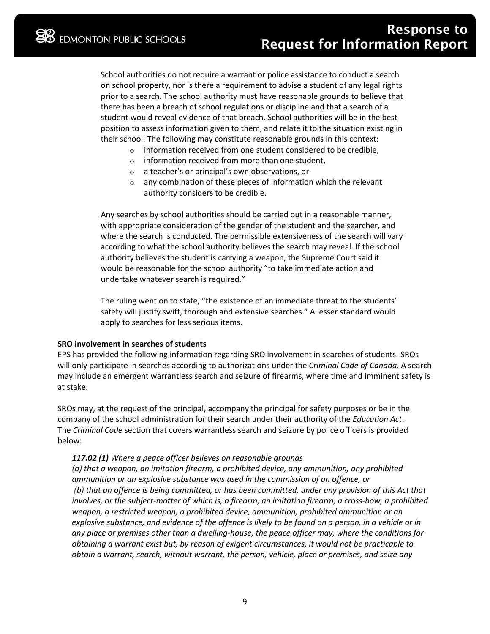School authorities do not require a warrant or police assistance to conduct a search on school property, nor is there a requirement to advise a student of any legal rights prior to a search. The school authority must have reasonable grounds to believe that there has been a breach of school regulations or discipline and that a search of a student would reveal evidence of that breach. School authorities will be in the best position to assess information given to them, and relate it to the situation existing in their school. The following may constitute reasonable grounds in this context:

- o information received from one student considered to be credible,
- $\circ$  information received from more than one student.
- o a teacher's or principal's own observations, or
- o any combination of these pieces of information which the relevant authority considers to be credible.

Any searches by school authorities should be carried out in a reasonable manner, with appropriate consideration of the gender of the student and the searcher, and where the search is conducted. The permissible extensiveness of the search will vary according to what the school authority believes the search may reveal. If the school authority believes the student is carrying a weapon, the Supreme Court said it would be reasonable for the school authority "to take immediate action and undertake whatever search is required."

The ruling went on to state, "the existence of an immediate threat to the students' safety will justify swift, thorough and extensive searches." A lesser standard would apply to searches for less serious items.

#### **SRO involvement in searches of students**

EPS has provided the following information regarding SRO involvement in searches of students. SROs will only participate in searches according to authorizations under the *Criminal Code of Canada*. A search may include an emergent warrantless search and seizure of firearms, where time and imminent safety is at stake.

SROs may, at the request of the principal, accompany the principal for safety purposes or be in the company of the school administration for their search under their authority of the *Education Act*. The *Criminal Code* section that covers warrantless search and seizure by police officers is provided below:

# *117.02 (1) Where a peace officer believes on reasonable grounds*

*(a) that a weapon, an imitation firearm, a prohibited device, any ammunition, any prohibited ammunition or an explosive substance was used in the commission of an offence, or (b) that an offence is being committed, or has been committed, under any provision of this Act that involves, or the subject-matter of which is, a firearm, an imitation firearm, a cross-bow, a prohibited weapon, a restricted weapon, a prohibited device, ammunition, prohibited ammunition or an explosive substance, and evidence of the offence is likely to be found on a person, in a vehicle or in any place or premises other than a dwelling-house, the peace officer may, where the conditions for obtaining a warrant exist but, by reason of exigent circumstances, it would not be practicable to obtain a warrant, search, without warrant, the person, vehicle, place or premises, and seize any*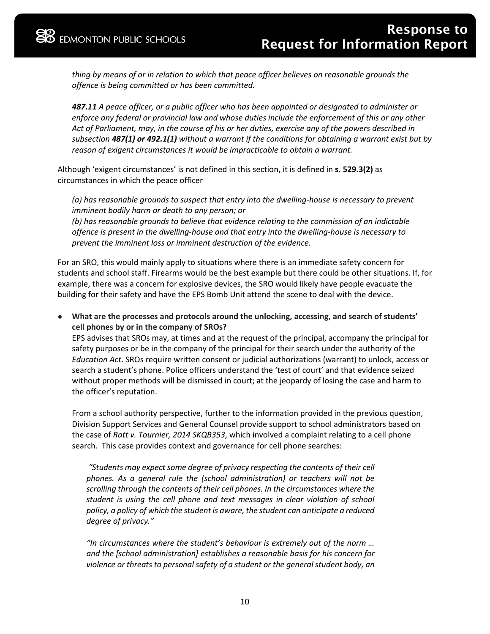*thing by means of or in relation to which that peace officer believes on reasonable grounds the offence is being committed or has been committed.*

*487.11 A peace officer, or a public officer who has been appointed or designated to administer or enforce any federal or provincial law and whose duties include the enforcement of this or any other Act of Parliament, may, in the course of his or her duties, exercise any of the powers described in subsection 487(1) or 492.1(1) without a warrant if the conditions for obtaining a warrant exist but by reason of exigent circumstances it would be impracticable to obtain a warrant.*

Although 'exigent circumstances' is not defined in this section, it is defined in **s. 529.3(2)** as circumstances in which the peace officer

*(a) has reasonable grounds to suspect that entry into the dwelling-house is necessary to prevent imminent bodily harm or death to any person; or*

*(b) has reasonable grounds to believe that evidence relating to the commission of an indictable offence is present in the dwelling-house and that entry into the dwelling-house is necessary to prevent the imminent loss or imminent destruction of the evidence.*

For an SRO, this would mainly apply to situations where there is an immediate safety concern for students and school staff. Firearms would be the best example but there could be other situations. If, for example, there was a concern for explosive devices, the SRO would likely have people evacuate the building for their safety and have the EPS Bomb Unit attend the scene to deal with the device.

● **What are the processes and protocols around the unlocking, accessing, and search of students' cell phones by or in the company of SROs?** EPS advises that SROs may, at times and at the request of the principal, accompany the principal for

safety purposes or be in the company of the principal for their search under the authority of the *Education Act*. SROs require written consent or judicial authorizations (warrant) to unlock, access or search a student's phone. Police officers understand the 'test of court' and that evidence seized without proper methods will be dismissed in court; at the jeopardy of losing the case and harm to the officer's reputation.

From a school authority perspective, further to the information provided in the previous question, Division Support Services and General Counsel provide support to school administrators based on the case of *Ratt v. Tournier, 2014 SKQB353*, which involved a complaint relating to a cell phone search. This case provides context and governance for cell phone searches:

*"Students may expect some degree of privacy respecting the contents of their cell phones. As a general rule the (school administration) or teachers will not be scrolling through the contents of their cell phones. In the circumstances where the student is using the cell phone and text messages in clear violation of school policy, a policy of which the student is aware, the student can anticipate a reduced degree of privacy."*

*"In circumstances where the student's behaviour is extremely out of the norm … and the [school administration] establishes a reasonable basis for his concern for violence or threats to personal safety of a student or the general student body, an*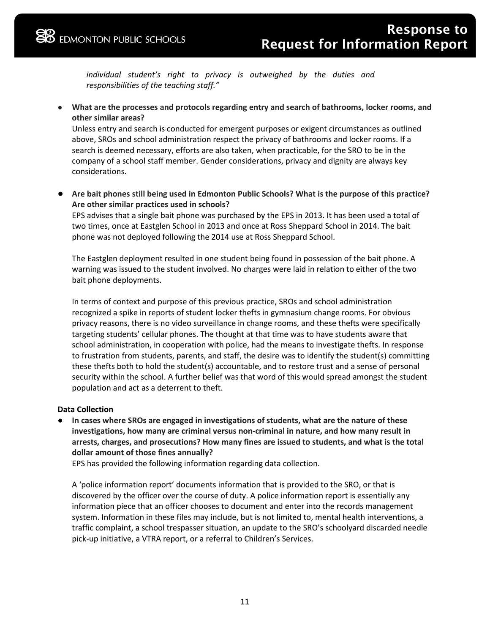*individual student's right to privacy is outweighed by the duties and responsibilities of the teaching staff."*

What are the processes and protocols regarding entry and search of bathrooms, locker rooms, and **other similar areas?**

Unless entry and search is conducted for emergent purposes or exigent circumstances as outlined above, SROs and school administration respect the privacy of bathrooms and locker rooms. If a search is deemed necessary, efforts are also taken, when practicable, for the SRO to be in the company of a school staff member. Gender considerations, privacy and dignity are always key considerations.

● Are bait phones still being used in Edmonton Public Schools? What is the purpose of this practice? **Are other similar practices used in schools?**

EPS advises that a single bait phone was purchased by the EPS in 2013. It has been used a total of two times, once at Eastglen School in 2013 and once at Ross Sheppard School in 2014. The bait phone was not deployed following the 2014 use at Ross Sheppard School.

The Eastglen deployment resulted in one student being found in possession of the bait phone. A warning was issued to the student involved. No charges were laid in relation to either of the two bait phone deployments.

In terms of context and purpose of this previous practice, SROs and school administration recognized a spike in reports of student locker thefts in gymnasium change rooms. For obvious privacy reasons, there is no video surveillance in change rooms, and these thefts were specifically targeting students' cellular phones. The thought at that time was to have students aware that school administration, in cooperation with police, had the means to investigate thefts. In response to frustration from students, parents, and staff, the desire was to identify the student(s) committing these thefts both to hold the student(s) accountable, and to restore trust and a sense of personal security within the school. A further belief was that word of this would spread amongst the student population and act as a deterrent to theft.

# **Data Collection**

● **In cases where SROs are engaged in investigations of students, what are the nature of these investigations, how many are criminal versus non-criminal in nature, and how many result in arrests, charges, and prosecutions? How many fines are issued to students, and what is the total dollar amount of those fines annually?**

EPS has provided the following information regarding data collection.

A 'police information report' documents information that is provided to the SRO, or that is discovered by the officer over the course of duty. A police information report is essentially any information piece that an officer chooses to document and enter into the records management system. Information in these files may include, but is not limited to, mental health interventions, a traffic complaint, a school trespasser situation, an update to the SRO's schoolyard discarded needle pick-up initiative, a VTRA report, or a referral to Children's Services.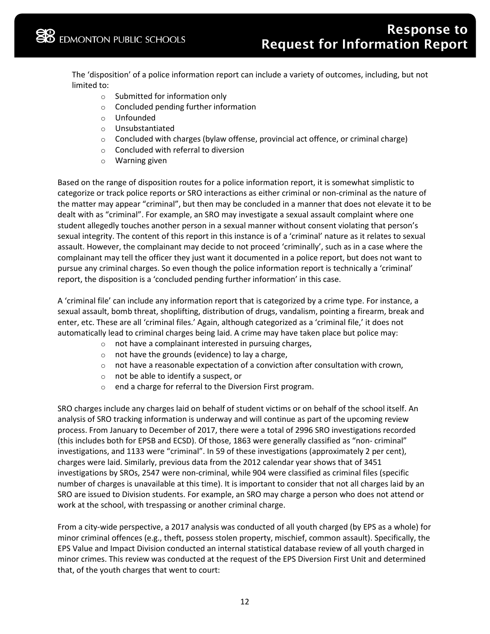The 'disposition' of a police information report can include a variety of outcomes, including, but not limited to:

- o Submitted for information only
- o Concluded pending further information
- o Unfounded
- o Unsubstantiated
- $\circ$  Concluded with charges (bylaw offense, provincial act offence, or criminal charge)
- o Concluded with referral to diversion
- o Warning given

Based on the range of disposition routes for a police information report, it is somewhat simplistic to categorize or track police reports or SRO interactions as either criminal or non-criminal as the nature of the matter may appear "criminal", but then may be concluded in a manner that does not elevate it to be dealt with as "criminal". For example, an SRO may investigate a sexual assault complaint where one student allegedly touches another person in a sexual manner without consent violating that person's sexual integrity. The content of this report in this instance is of a 'criminal' nature as it relates to sexual assault. However, the complainant may decide to not proceed 'criminally', such as in a case where the complainant may tell the officer they just want it documented in a police report, but does not want to pursue any criminal charges. So even though the police information report is technically a 'criminal' report, the disposition is a 'concluded pending further information' in this case.

A 'criminal file' can include any information report that is categorized by a crime type. For instance, a sexual assault, bomb threat, shoplifting, distribution of drugs, vandalism, pointing a firearm, break and enter, etc. These are all 'criminal files.' Again, although categorized as a 'criminal file,' it does not automatically lead to criminal charges being laid. A crime may have taken place but police may:

- o not have a complainant interested in pursuing charges,
- $\circ$  not have the grounds (evidence) to lay a charge,
- $\circ$  not have a reasonable expectation of a conviction after consultation with crown,
- o not be able to identify a suspect, or
- o end a charge for referral to the Diversion First program.

SRO charges include any charges laid on behalf of student victims or on behalf of the school itself. An analysis of SRO tracking information is underway and will continue as part of the upcoming review process. From January to December of 2017, there were a total of 2996 SRO investigations recorded (this includes both for EPSB and ECSD). Of those, 1863 were generally classified as "non- criminal" investigations, and 1133 were "criminal". In 59 of these investigations (approximately 2 per cent), charges were laid. Similarly, previous data from the 2012 calendar year shows that of 3451 investigations by SROs, 2547 were non-criminal, while 904 were classified as criminal files (specific number of charges is unavailable at this time). It is important to consider that not all charges laid by an SRO are issued to Division students. For example, an SRO may charge a person who does not attend or work at the school, with trespassing or another criminal charge.

From a city-wide perspective, a 2017 analysis was conducted of all youth charged (by EPS as a whole) for minor criminal offences (e.g., theft, possess stolen property, mischief, common assault). Specifically, the EPS Value and Impact Division conducted an internal statistical database review of all youth charged in minor crimes. This review was conducted at the request of the EPS Diversion First Unit and determined that, of the youth charges that went to court: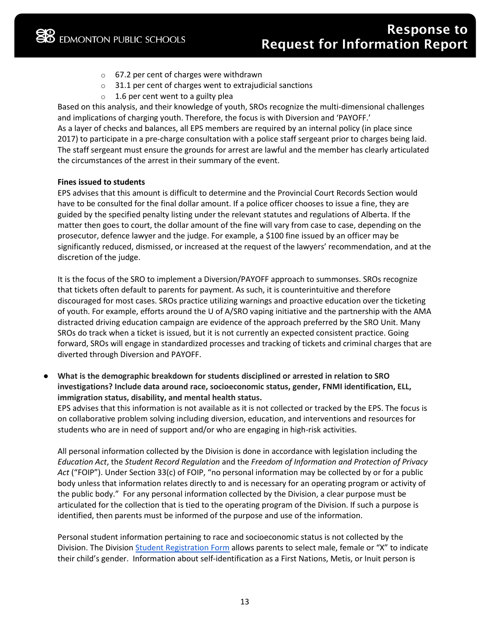- o 67.2 per cent of charges were withdrawn
- $\circ$  31.1 per cent of charges went to extrajudicial sanctions
- o 1.6 per cent went to a guilty plea

Based on this analysis, and their knowledge of youth, SROs recognize the multi-dimensional challenges and implications of charging youth. Therefore, the focus is with Diversion and 'PAYOFF.' As a layer of checks and balances, all EPS members are required by an internal policy (in place since 2017) to participate in a pre-charge consultation with a police staff sergeant prior to charges being laid. The staff sergeant must ensure the grounds for arrest are lawful and the member has clearly articulated the circumstances of the arrest in their summary of the event.

### **Fines issued to students**

EPS advises that this amount is difficult to determine and the Provincial Court Records Section would have to be consulted for the final dollar amount. If a police officer chooses to issue a fine, they are guided by the specified penalty listing under the relevant statutes and regulations of Alberta. If the matter then goes to court, the dollar amount of the fine will vary from case to case, depending on the prosecutor, defence lawyer and the judge. For example, a \$100 fine issued by an officer may be significantly reduced, dismissed, or increased at the request of the lawyers' recommendation, and at the discretion of the judge.

It is the focus of the SRO to implement a Diversion/PAYOFF approach to summonses. SROs recognize that tickets often default to parents for payment. As such, it is counterintuitive and therefore discouraged for most cases. SROs practice utilizing warnings and proactive education over the ticketing of youth. For example, efforts around the U of A/SRO vaping initiative and the partnership with the AMA distracted driving education campaign are evidence of the approach preferred by the SRO Unit. Many SROs do track when a ticket is issued, but it is not currently an expected consistent practice. Going forward, SROs will engage in standardized processes and tracking of tickets and criminal charges that are diverted through Diversion and PAYOFF.

What is the demographic breakdown for students disciplined or arrested in relation to SRO **investigations? Include data around race, socioeconomic status, gender, FNMI identification, ELL, immigration status, disability, and mental health status.**

EPS advises that this information is not available as it is not collected or tracked by the EPS. The focus is on collaborative problem solving including diversion, education, and interventions and resources for students who are in need of support and/or who are engaging in high-risk activities.

All personal information collected by the Division is done in accordance with legislation including the *Education Act*, the *Student Record Regulation* and the *Freedom of Information and Protection of Privacy Act* ("FOIP"). Under Section 33(c) of FOIP, "no personal information may be collected by or for a public body unless that information relates directly to and is necessary for an operating program or activity of the public body." For any personal information collected by the Division, a clear purpose must be articulated for the collection that is tied to the operating program of the Division. If such a purpose is identified, then parents must be informed of the purpose and use of the information.

Personal student information pertaining to race and socioeconomic status is not collected by the Division. The Division [Student Registration Form](https://epsb.ca/media/epsb/schools/registerforschool/StudentRegistrationForm.pdf) allows parents to select male, female or "X" to indicate their child's gender. Information about self-identification as a First Nations, Metis, or Inuit person is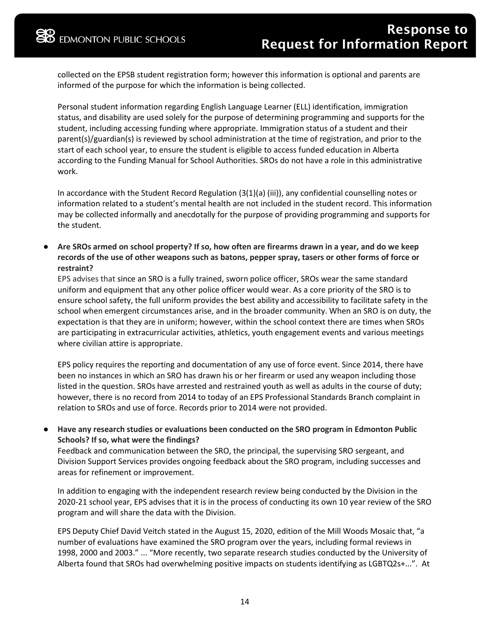collected on the EPSB student registration form; however this information is optional and parents are informed of the purpose for which the information is being collected.

Personal student information regarding English Language Learner (ELL) identification, immigration status, and disability are used solely for the purpose of determining programming and supports for the student, including accessing funding where appropriate. Immigration status of a student and their parent(s)/guardian(s) is reviewed by school administration at the time of registration, and prior to the start of each school year, to ensure the student is eligible to access funded education in Alberta according to the Funding Manual for School Authorities. SROs do not have a role in this administrative work.

In accordance with the Student Record Regulation (3(1)(a) (iii)), any confidential counselling notes or information related to a student's mental health are not included in the student record. This information may be collected informally and anecdotally for the purpose of providing programming and supports for the student.

● **Are SROs armed on school property? If so, how often are firearms drawn in a year, and do we keep records of the use of other weapons such as batons, pepper spray, tasers or other forms of force or restraint?**

EPS advises that since an SRO is a fully trained, sworn police officer, SROs wear the same standard uniform and equipment that any other police officer would wear. As a core priority of the SRO is to ensure school safety, the full uniform provides the best ability and accessibility to facilitate safety in the school when emergent circumstances arise, and in the broader community. When an SRO is on duty, the expectation is that they are in uniform; however, within the school context there are times when SROs are participating in extracurricular activities, athletics, youth engagement events and various meetings where civilian attire is appropriate.

EPS policy requires the reporting and documentation of any use of force event. Since 2014, there have been no instances in which an SRO has drawn his or her firearm or used any weapon including those listed in the question. SROs have arrested and restrained youth as well as adults in the course of duty; however, there is no record from 2014 to today of an EPS Professional Standards Branch complaint in relation to SROs and use of force. Records prior to 2014 were not provided.

● **Have any research studies or evaluations been conducted on the SRO program in Edmonton Public Schools? If so, what were the findings?**

Feedback and communication between the SRO, the principal, the supervising SRO sergeant, and Division Support Services provides ongoing feedback about the SRO program, including successes and areas for refinement or improvement.

In addition to engaging with the independent research review being conducted by the Division in the 2020-21 school year, EPS advises that it is in the process of conducting its own 10 year review of the SRO program and will share the data with the Division.

EPS Deputy Chief David Veitch stated in the August 15, 2020, edition of the Mill Woods Mosaic that, "a number of evaluations have examined the SRO program over the years, including formal reviews in 1998, 2000 and 2003." ... "More recently, two separate research studies conducted by the University of Alberta found that SROs had overwhelming positive impacts on students identifying as LGBTQ2s+...". At